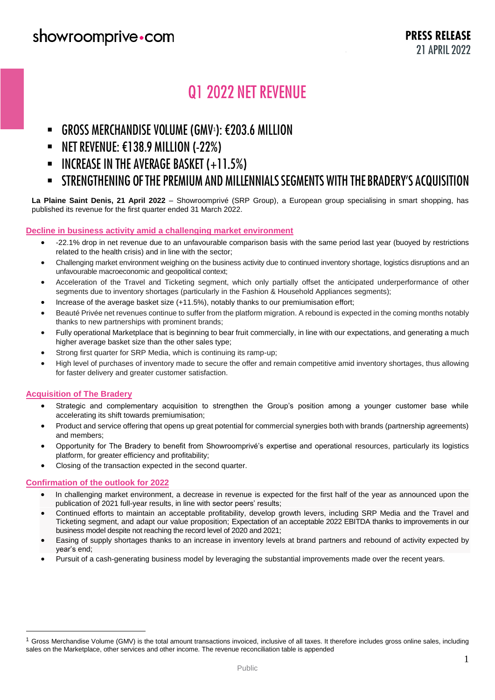# **Q1 2022 NET REVENUE**

- **GROSS MERCHANDISE VOLUME (GMV**<sup>1</sup>
- NET REVENUE: €138.9 MILLION (-22%)  $\blacksquare$
- **INCREASE IN THE AVERAGE BASKET (+11.5%)**  $\blacksquare$
- STRENGTHENING OF THE PREMIUM AND MILLENNIALS SEGMENTS WITH THE BRADERY'S ACQUISITION  $\blacksquare$

**La Plaine Saint Denis, 21 April 2022** – Showroomprivé (SRP Group), a European group specialising in smart shopping, has published its revenue for the first quarter ended 31 March 2022.

#### **Decline in business activity amid a challenging market environment**

- -22.1% drop in net revenue due to an unfavourable comparison basis with the same period last year (buoyed by restrictions related to the health crisis) and in line with the sector;
- Challenging market environment weighing on the business activity due to continued inventory shortage, logistics disruptions and an unfavourable macroeconomic and geopolitical context;
- Acceleration of the Travel and Ticketing segment, which only partially offset the anticipated underperformance of other segments due to inventory shortages (particularly in the Fashion & Household Appliances segments);
- Increase of the average basket size (+11.5%), notably thanks to our premiumisation effort;
- Beauté Privée net revenues continue to suffer from the platform migration. A rebound is expected in the coming months notably thanks to new partnerships with prominent brands;
- Fully operational Marketplace that is beginning to bear fruit commercially, in line with our expectations, and generating a much higher average basket size than the other sales type;
- Strong first quarter for SRP Media, which is continuing its ramp-up;
- High level of purchases of inventory made to secure the offer and remain competitive amid inventory shortages, thus allowing for faster delivery and greater customer satisfaction.

#### **Acquisition of The Bradery**

 $\overline{a}$ 

- Strategic and complementary acquisition to strengthen the Group's position among a younger customer base while accelerating its shift towards premiumisation;
- Product and service offering that opens up great potential for commercial synergies both with brands (partnership agreements) and members;
- Opportunity for The Bradery to benefit from Showroomprivé's expertise and operational resources, particularly its logistics platform, for greater efficiency and profitability;
- Closing of the transaction expected in the second quarter.

#### **Confirmation of the outlook for 2022**

- In challenging market environment, a decrease in revenue is expected for the first half of the year as announced upon the publication of 2021 full-year results, in line with sector peers' results;
- Continued efforts to maintain an acceptable profitability, develop growth levers, including SRP Media and the Travel and Ticketing segment, and adapt our value proposition; Expectation of an acceptable 2022 EBITDA thanks to improvements in our business model despite not reaching the record level of 2020 and 2021;
- Easing of supply shortages thanks to an increase in inventory levels at brand partners and rebound of activity expected by year's end;
- Pursuit of a cash-generating business model by leveraging the substantial improvements made over the recent years.

 $1$  Gross Merchandise Volume (GMV) is the total amount transactions invoiced, inclusive of all taxes. It therefore includes gross online sales, including sales on the Marketplace, other services and other income. The revenue reconciliation table is appended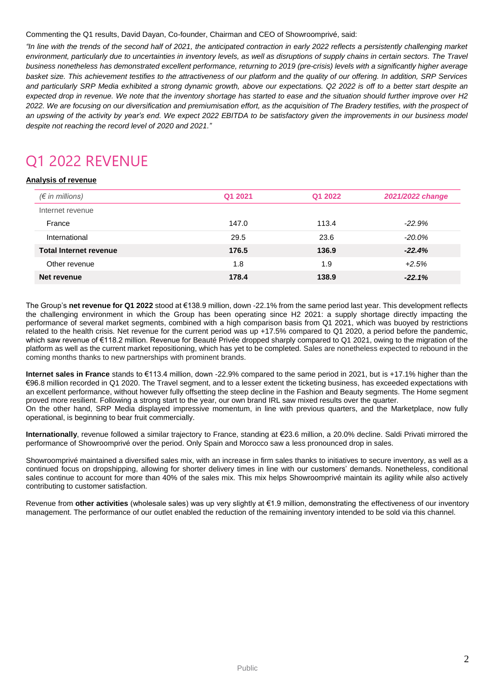#### Commenting the Q1 results, David Dayan, Co-founder, Chairman and CEO of Showroomprivé, said:

*"In line with the trends of the second half of 2021, the anticipated contraction in early 2022 reflects a persistently challenging market environment, particularly due to uncertainties in inventory levels, as well as disruptions of supply chains in certain sectors. The Travel business nonetheless has demonstrated excellent performance, returning to 2019 (pre-crisis) levels with a significantly higher average basket size. This achievement testifies to the attractiveness of our platform and the quality of our offering. In addition, SRP Services and particularly SRP Media exhibited a strong dynamic growth, above our expectations. Q2 2022 is off to a better start despite an expected drop in revenue. We note that the inventory shortage has started to ease and the situation should further improve over H2 2022. We are focusing on our diversification and premiumisation effort, as the acquisition of The Bradery testifies, with the prospect of*  an upswing of the activity by year's end. We expect 2022 EBITDA to be satisfactory given the improvements in our business model *despite not reaching the record level of 2020 and 2021."* 

# Q1 2022 REVENUE

#### **Analysis of revenue**

| $(\epsilon$ in millions)      | Q1 2021 | Q1 2022 | 2021/2022 change |
|-------------------------------|---------|---------|------------------|
| Internet revenue              |         |         |                  |
| France                        | 147.0   | 113.4   | $-22.9%$         |
| International                 | 29.5    | 23.6    | $-20.0\%$        |
| <b>Total Internet revenue</b> | 176.5   | 136.9   | $-22.4%$         |
| Other revenue                 | 1.8     | 1.9     | $+2.5%$          |
| Net revenue                   | 178.4   | 138.9   | $-22.1%$         |
|                               |         |         |                  |

The Group's **net revenue for Q1 2022** stood at €138.9 million, down -22.1% from the same period last year. This development reflects the challenging environment in which the Group has been operating since H2 2021: a supply shortage directly impacting the performance of several market segments, combined with a high comparison basis from Q1 2021, which was buoyed by restrictions related to the health crisis. Net revenue for the current period was up +17.5% compared to Q1 2020, a period before the pandemic, which saw revenue of €118.2 million. Revenue for Beauté Privée dropped sharply compared to Q1 2021, owing to the migration of the platform as well as the current market repositioning, which has yet to be completed. Sales are nonetheless expected to rebound in the coming months thanks to new partnerships with prominent brands.

**Internet sales in France** stands to €113.4 million, down -22.9% compared to the same period in 2021, but is +17.1% higher than the €96.8 million recorded in Q1 2020. The Travel segment, and to a lesser extent the ticketing business, has exceeded expectations with an excellent performance, without however fully offsetting the steep decline in the Fashion and Beauty segments. The Home segment proved more resilient. Following a strong start to the year, our own brand IRL saw mixed results over the quarter. On the other hand, SRP Media displayed impressive momentum, in line with previous quarters, and the Marketplace, now fully operational, is beginning to bear fruit commercially.

**Internationally**, revenue followed a similar trajectory to France, standing at €23.6 million, a 20.0% decline. Saldi Privati mirrored the performance of Showroomprivé over the period. Only Spain and Morocco saw a less pronounced drop in sales.

Showroomprivé maintained a diversified sales mix, with an increase in firm sales thanks to initiatives to secure inventory, as well as a continued focus on dropshipping, allowing for shorter delivery times in line with our customers' demands. Nonetheless, conditional sales continue to account for more than 40% of the sales mix. This mix helps Showroomprivé maintain its agility while also actively contributing to customer satisfaction.

Revenue from **other activities** (wholesale sales) was up very slightly at €1.9 million, demonstrating the effectiveness of our inventory management. The performance of our outlet enabled the reduction of the remaining inventory intended to be sold via this channel.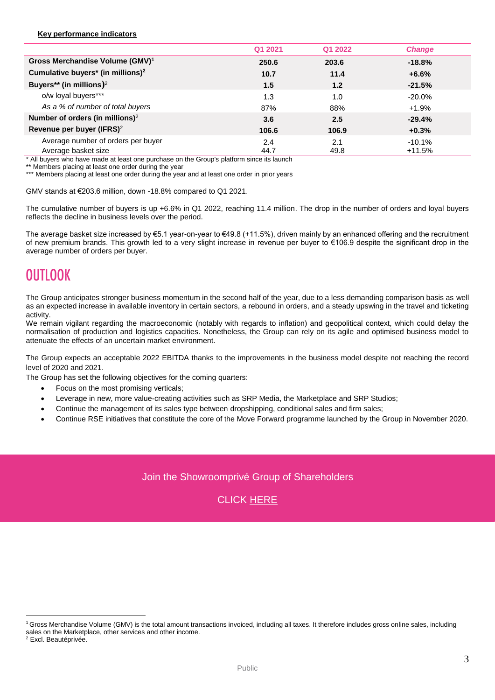#### **Key performance indicators**

|                                               | Q1 2021 | Q1 2022 | <b>Change</b> |
|-----------------------------------------------|---------|---------|---------------|
| Gross Merchandise Volume (GMV) <sup>1</sup>   | 250.6   | 203.6   | $-18.8%$      |
| Cumulative buyers* (in millions) <sup>2</sup> | 10.7    | 11.4    | $+6.6%$       |
| Buyers** (in millions) $2$                    | 1.5     | 1.2     | $-21.5%$      |
| o/w loyal buyers***                           | 1.3     | 1.0     | $-20.0\%$     |
| As a % of number of total buyers              | 87%     | 88%     | $+1.9%$       |
| Number of orders (in millions) <sup>2</sup>   | 3.6     | 2.5     | $-29.4%$      |
| Revenue per buyer (IFRS) <sup>2</sup>         | 106.6   | 106.9   | $+0.3%$       |
| Average number of orders per buyer            | 2.4     | 2.1     | $-10.1%$      |
| Average basket size                           | 44.7    | 49.8    | $+11.5%$      |

\* All buyers who have made at least one purchase on the Group's platform since its launch

\*\* Members placing at least one order during the year

\*\*\* Members placing at least one order during the year and at least one order in prior years

GMV stands at €203.6 million, down -18.8% compared to Q1 2021.

The cumulative number of buyers is up +6.6% in Q1 2022, reaching 11.4 million. The drop in the number of orders and loyal buyers reflects the decline in business levels over the period.

The average basket size increased by €5.1 year-on-year to €49.8 (+11.5%), driven mainly by an enhanced offering and the recruitment of new premium brands. This growth led to a very slight increase in revenue per buyer to €106.9 despite the significant drop in the average number of orders per buyer.

# **OUTLOOK**

The Group anticipates stronger business momentum in the second half of the year, due to a less demanding comparison basis as well as an expected increase in available inventory in certain sectors, a rebound in orders, and a steady upswing in the travel and ticketing activity.

We remain vigilant regarding the macroeconomic (notably with regards to inflation) and geopolitical context, which could delay the normalisation of production and logistics capacities. Nonetheless, the Group can rely on its agile and optimised business model to attenuate the effects of an uncertain market environment.

The Group expects an acceptable 2022 EBITDA thanks to the improvements in the business model despite not reaching the record level of 2020 and 2021.

The Group has set the following objectives for the coming quarters:

- Focus on the most promising verticals;
- Leverage in new, more value-creating activities such as SRP Media, the Marketplace and SRP Studios;
- Continue the management of its sales type between dropshipping, conditional sales and firm sales;
- Continue RSE initiatives that constitute the core of the Move Forward programme launched by the Group in November 2020.

### Join the Showroomprivé Group of Shareholders



 $\overline{a}$ 

<sup>1</sup>Gross Merchandise Volume (GMV) is the total amount transactions invoiced, including all taxes. It therefore includes gross online sales, including sales on the Marketplace, other services and other income.

<sup>2</sup> Excl. Beautéprivée.